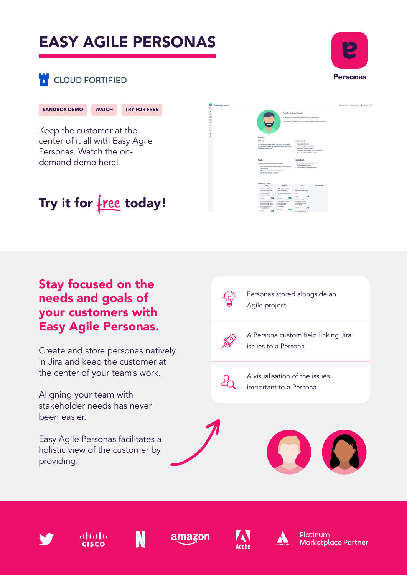# EASY AGILE PERSONAS



### **CLOUD FORTIFIED**

#### **[SANDBOX DEMO](https://demo.easyagile.com/projects/TIS?selectedItem=com.easyagile.easy-agile-personas&rapidView=8&utm_source=partner-resource&utm_medium=partner-hub&utm_campaign=personas-instant-demo&utm_content=cloud) [WATCH](https://www.bigmarker.com/easy-agile/Easy-Agile-Personas-Product-Demo?utm_bmcr_source=atlassian-marketplace/?utm_source=partner-resource&utm_medium=partner-hub&utm_campaign=personas-factsheet) [TRY FOR FREE](https://marketplace.atlassian.com/apps/1221392/easy-agile-personas-for-jira?hosting=cloud&tab=overview/?utm_source=partner-resource&utm_medium=partner-hub&utm_campaign=personas-factsheet)**

Keep the customer at the center of it all with Easy Agile Personas. Watch the ondemand demo here!



### Try it for  $free$  today!

#### Stay focused on the needs and goals of your customers with Easy Agile Personas.

Create and store personas natively in Jira and keep the customer at the center of your team's work.

Aligning your team with stakeholder needs has never been easier.

Easy Agile Personas facilitates a holistic view of the customer by providing:



Personas stored alongside an Agile project



A Persona custom field linking Jira issues to a Persona



A visualisation of the issues important to a Persona















**Marketplace Partner**